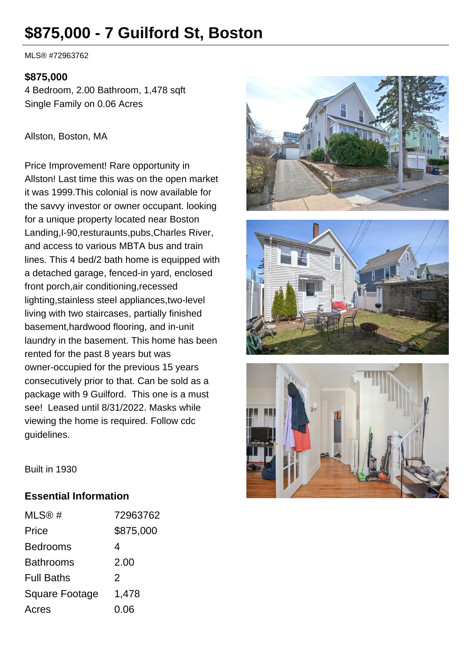# **\$875,000 - 7 Guilford St, Boston**

MLS® #72963762

#### **\$875,000**

4 Bedroom, 2.00 Bathroom, 1,478 sqft Single Family on 0.06 Acres

#### Allston, Boston, MA

Price Improvement! Rare opportunity in Allston! Last time this was on the open market it was 1999.This colonial is now available for the savvy investor or owner occupant. looking for a unique property located near Boston Landing,I-90,resturaunts,pubs,Charles River, and access to various MBTA bus and train lines. This 4 bed/2 bath home is equipped with a detached garage, fenced-in yard, enclosed front porch,air conditioning,recessed lighting,stainless steel appliances,two-level living with two staircases, partially finished basement,hardwood flooring, and in-unit laundry in the basement. This home has been rented for the past 8 years but was owner-occupied for the previous 15 years consecutively prior to that. Can be sold as a package with 9 Guilford. This one is a must see! Leased until 8/31/2022. Masks while viewing the home is required. Follow cdc guidelines.







Built in 1930

## **Essential Information**

| MLS@#                 | 72963762      |
|-----------------------|---------------|
| Price                 | \$875,000     |
| <b>Bedrooms</b>       | 4             |
| <b>Bathrooms</b>      | 2.00          |
| <b>Full Baths</b>     | $\mathcal{P}$ |
| <b>Square Footage</b> | 1,478         |
| Acres                 | 0.06          |